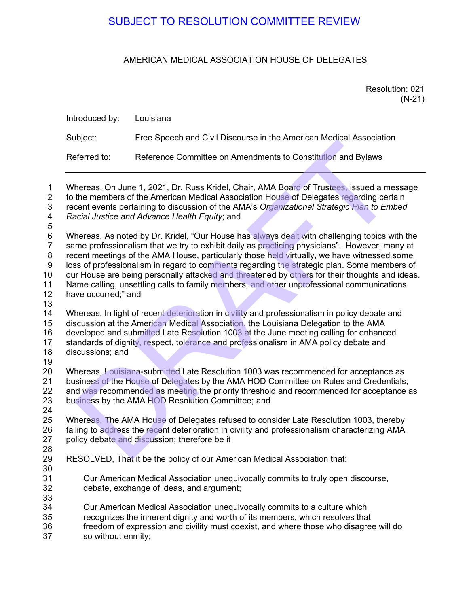## AMERICAN MEDICAL ASSOCIATION HOUSE OF DELEGATES

|                                                 | SUBJECT TO RESOLUTION COMMITTEE REVIEW                                                                                                                                                                                                                                                                                                                                                                                                                                                                                                                                                      |  |
|-------------------------------------------------|---------------------------------------------------------------------------------------------------------------------------------------------------------------------------------------------------------------------------------------------------------------------------------------------------------------------------------------------------------------------------------------------------------------------------------------------------------------------------------------------------------------------------------------------------------------------------------------------|--|
| AMERICAN MEDICAL ASSOCIATION HOUSE OF DELEGATES |                                                                                                                                                                                                                                                                                                                                                                                                                                                                                                                                                                                             |  |
|                                                 | Resolution: 021<br>$(N-21)$                                                                                                                                                                                                                                                                                                                                                                                                                                                                                                                                                                 |  |
| Introduced by:                                  | Louisiana                                                                                                                                                                                                                                                                                                                                                                                                                                                                                                                                                                                   |  |
| Subject:                                        | Free Speech and Civil Discourse in the American Medical Association                                                                                                                                                                                                                                                                                                                                                                                                                                                                                                                         |  |
| Referred to:                                    | Reference Committee on Amendments to Constitution and Bylaws                                                                                                                                                                                                                                                                                                                                                                                                                                                                                                                                |  |
|                                                 | Whereas, On June 1, 2021, Dr. Russ Kridel, Chair, AMA Board of Trustees, issued a message<br>to the members of the American Medical Association House of Delegates regarding certain<br>recent events pertaining to discussion of the AMA's Organizational Strategic Plan to Embed<br>Racial Justice and Advance Health Equity; and                                                                                                                                                                                                                                                         |  |
| have occurred;" and                             | Whereas, As noted by Dr. Kridel, "Our House has always dealt with challenging topics with the<br>same professionalism that we try to exhibit daily as practicing physicians". However, many at<br>recent meetings of the AMA House, particularly those held virtually, we have witnessed some<br>loss of professionalism in regard to comments regarding the strategic plan. Some members of<br>our House are being personally attacked and threatened by others for their thoughts and ideas.<br>Name calling, unsettling calls to family members, and other unprofessional communications |  |
| discussions; and                                | Whereas, In light of recent deterioration in civility and professionalism in policy debate and<br>discussion at the American Medical Association, the Louisiana Delegation to the AMA<br>developed and submitted Late Resolution 1003 at the June meeting calling for enhanced<br>standards of dignity, respect, tolerance and professionalism in AMA policy debate and                                                                                                                                                                                                                     |  |
|                                                 | Whereas, Louisiana-submitted Late Resolution 1003 was recommended for acceptance as<br>business of the House of Delegates by the AMA HOD Committee on Rules and Credentials,<br>and was recommended as meeting the priority threshold and recommended for acceptance as<br>business by the AMA HOD Resolution Committee; and                                                                                                                                                                                                                                                                |  |
|                                                 | Whereas, The AMA House of Delegates refused to consider Late Resolution 1003, thereby<br>failing to address the recent deterioration in civility and professionalism characterizing AMA<br>policy debate and discussion; therefore be it                                                                                                                                                                                                                                                                                                                                                    |  |
|                                                 | RESOLVED, That it be the policy of our American Medical Association that:                                                                                                                                                                                                                                                                                                                                                                                                                                                                                                                   |  |
|                                                 | Our American Medical Association unequivocally commits to truly open discourse,<br>debate, exchange of ideas, and argument;                                                                                                                                                                                                                                                                                                                                                                                                                                                                 |  |
|                                                 | Our American Medical Association unequivocally commits to a culture which<br>recognizes the inherent dignity and worth of its members, which resolves that<br>freedom of expression and civility must coexist, and where those who disagree will do                                                                                                                                                                                                                                                                                                                                         |  |

 $12$ 13

18 discussions; and 19

24<br>25

28

30

33<br>34